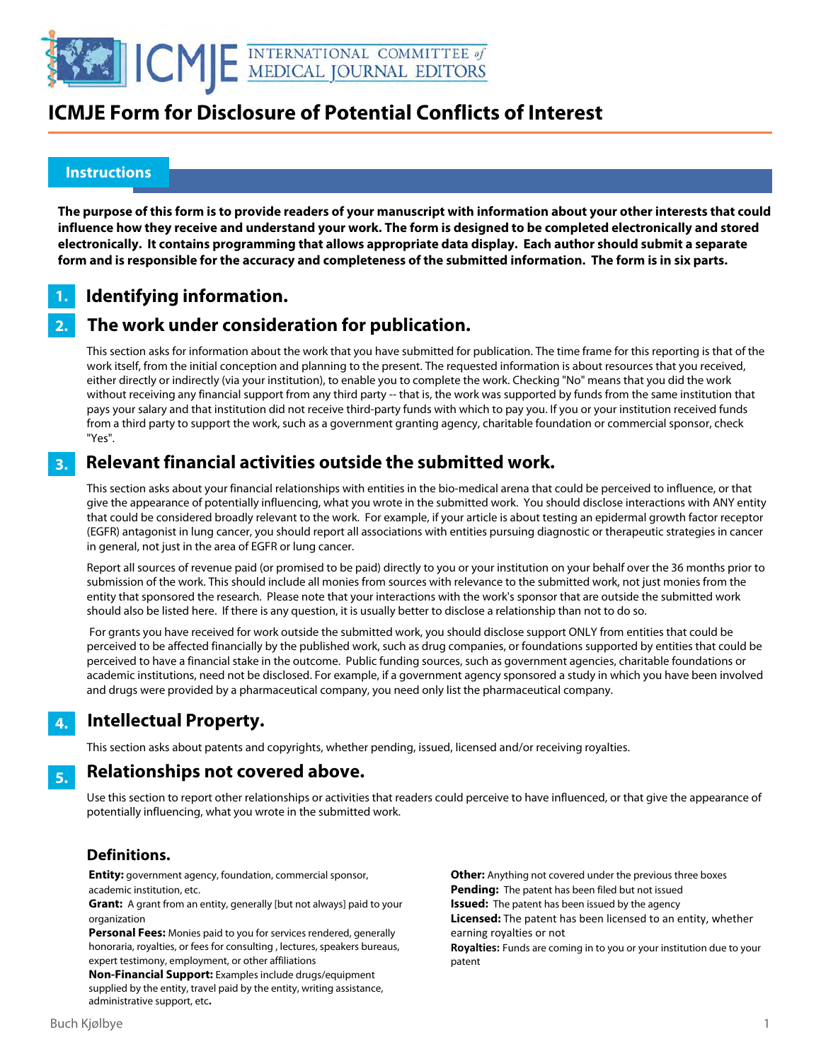

#### **Instructions**

**The purpose of this form is to provide readers of your manuscript with information about your other interests that could influence how they receive and understand your work. The form is designed to be completed electronically and stored electronically. It contains programming that allows appropriate data display. Each author should submit a separate form and is responsible for the accuracy and completeness of the submitted information. The form is in six parts.** 

#### **Identifying information. 1.**

#### **The work under consideration for publication. 2.**

This section asks for information about the work that you have submitted for publication. The time frame for this reporting is that of the work itself, from the initial conception and planning to the present. The requested information is about resources that you received, either directly or indirectly (via your institution), to enable you to complete the work. Checking "No" means that you did the work without receiving any financial support from any third party -- that is, the work was supported by funds from the same institution that pays your salary and that institution did not receive third-party funds with which to pay you. If you or your institution received funds from a third party to support the work, such as a government granting agency, charitable foundation or commercial sponsor, check "Yes".

#### **Relevant financial activities outside the submitted work. 3.**

This section asks about your financial relationships with entities in the bio-medical arena that could be perceived to influence, or that give the appearance of potentially influencing, what you wrote in the submitted work. You should disclose interactions with ANY entity that could be considered broadly relevant to the work. For example, if your article is about testing an epidermal growth factor receptor (EGFR) antagonist in lung cancer, you should report all associations with entities pursuing diagnostic or therapeutic strategies in cancer in general, not just in the area of EGFR or lung cancer.

Report all sources of revenue paid (or promised to be paid) directly to you or your institution on your behalf over the 36 months prior to submission of the work. This should include all monies from sources with relevance to the submitted work, not just monies from the entity that sponsored the research. Please note that your interactions with the work's sponsor that are outside the submitted work should also be listed here. If there is any question, it is usually better to disclose a relationship than not to do so.

 For grants you have received for work outside the submitted work, you should disclose support ONLY from entities that could be perceived to be affected financially by the published work, such as drug companies, or foundations supported by entities that could be perceived to have a financial stake in the outcome. Public funding sources, such as government agencies, charitable foundations or academic institutions, need not be disclosed. For example, if a government agency sponsored a study in which you have been involved and drugs were provided by a pharmaceutical company, you need only list the pharmaceutical company.

#### **Intellectual Property. 4.**

This section asks about patents and copyrights, whether pending, issued, licensed and/or receiving royalties.

#### **Relationships not covered above. 5.**

Use this section to report other relationships or activities that readers could perceive to have influenced, or that give the appearance of potentially influencing, what you wrote in the submitted work.

### **Definitions.**

**Entity:** government agency, foundation, commercial sponsor, academic institution, etc.

**Grant:** A grant from an entity, generally [but not always] paid to your organization

**Personal Fees:** Monies paid to you for services rendered, generally honoraria, royalties, or fees for consulting , lectures, speakers bureaus, expert testimony, employment, or other affiliations

**Non-Financial Support:** Examples include drugs/equipment supplied by the entity, travel paid by the entity, writing assistance, administrative support, etc**.**

**Other:** Anything not covered under the previous three boxes **Pending:** The patent has been filed but not issued **Issued:** The patent has been issued by the agency **Licensed:** The patent has been licensed to an entity, whether earning royalties or not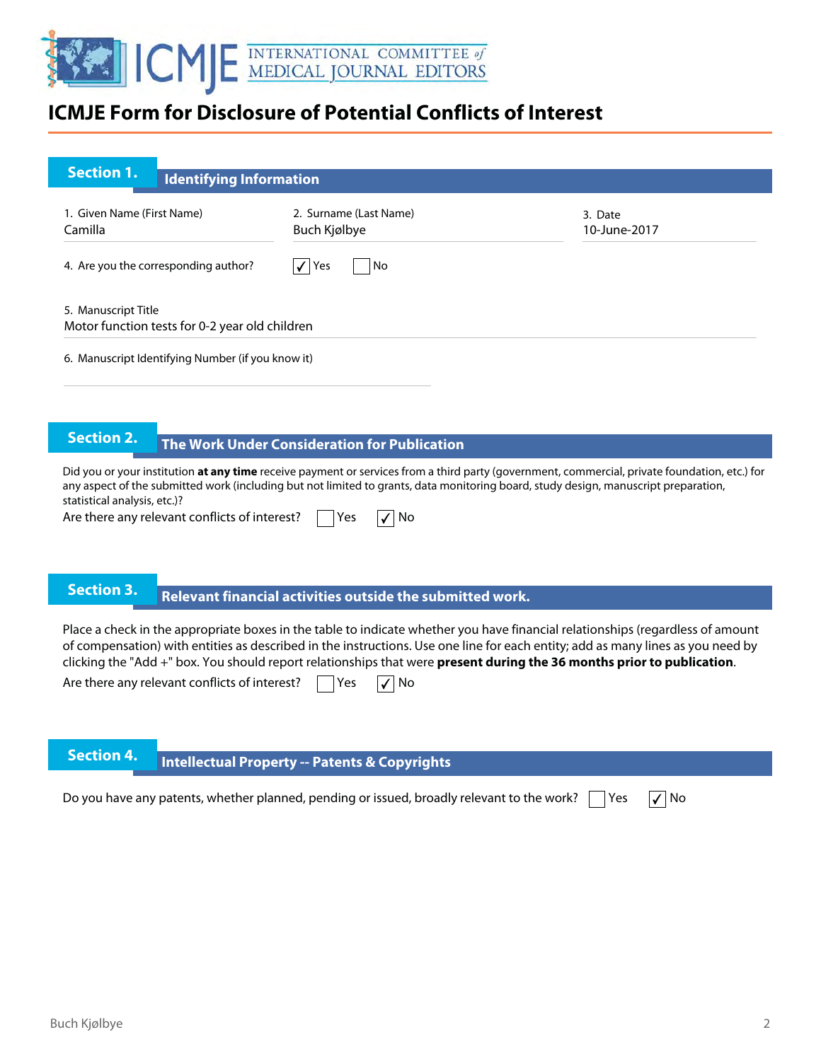

| <b>Section 1.</b>                     | <b>Identifying Information</b>                    |                                        |                         |
|---------------------------------------|---------------------------------------------------|----------------------------------------|-------------------------|
| 1. Given Name (First Name)<br>Camilla |                                                   | 2. Surname (Last Name)<br>Buch Kjølbye | 3. Date<br>10-June-2017 |
|                                       | 4. Are you the corresponding author?              | Yes<br>No                              |                         |
| 5. Manuscript Title                   | Motor function tests for 0-2 year old children    |                                        |                         |
|                                       | 6. Manuscript Identifying Number (if you know it) |                                        |                         |

## **The Work Under Consideration for Publication**

Did you or your institution **at any time** receive payment or services from a third party (government, commercial, private foundation, etc.) for any aspect of the submitted work (including but not limited to grants, data monitoring board, study design, manuscript preparation, statistical analysis, etc.)?

Are there any relevant conflicts of interest?  $\Box$  Yes  $\Box$  No

## **Rection 3.** Relevant financial activities outside the submitted work.

Place a check in the appropriate boxes in the table to indicate whether you have financial relationships (regardless of amount of compensation) with entities as described in the instructions. Use one line for each entity; add as many lines as you need by clicking the "Add +" box. You should report relationships that were **present during the 36 months prior to publication**.

Are there any relevant conflicts of interest?  $\Box$  Yes  $\Box$  No

## **Intellectual Property -- Patents & Copyrights**

Do you have any patents, whether planned, pending or issued, broadly relevant to the work?  $\vert \ \vert$  Yes  $\vert \ \vert$  No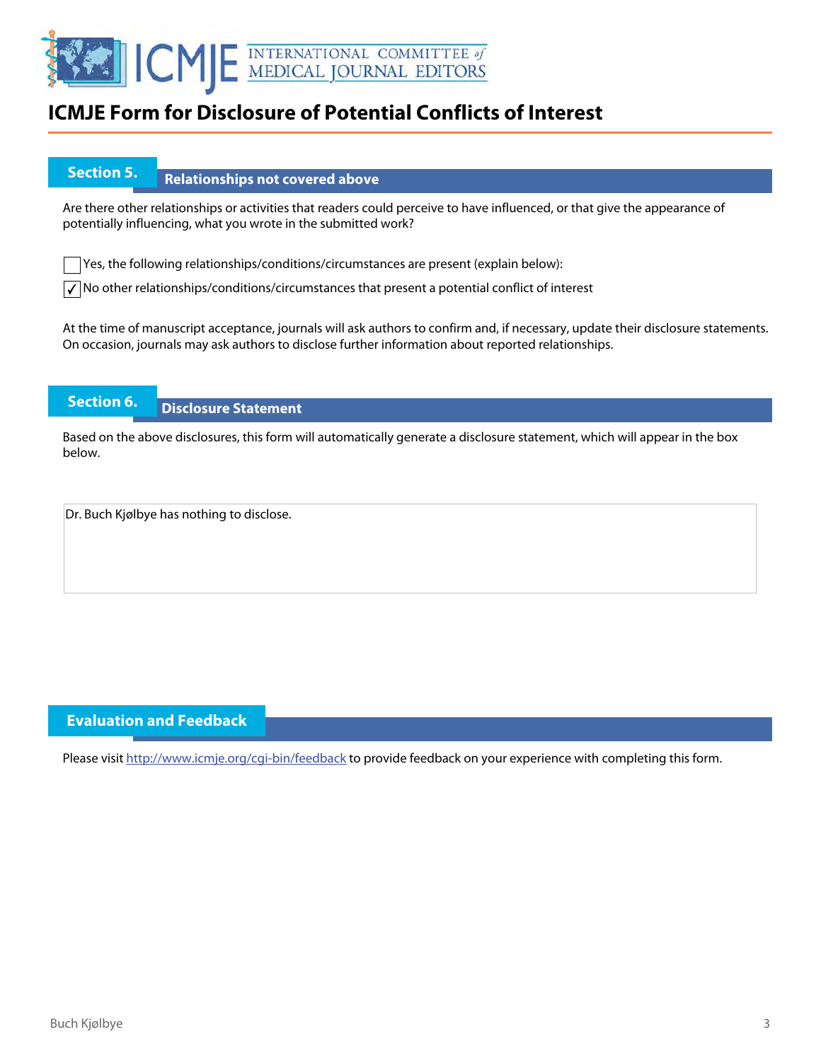

### **Section 5.** Relationships not covered above

Are there other relationships or activities that readers could perceive to have influenced, or that give the appearance of potentially influencing, what you wrote in the submitted work?

Yes, the following relationships/conditions/circumstances are present (explain below):

 $\sqrt{\sqrt{}}$  No other relationships/conditions/circumstances that present a potential conflict of interest

At the time of manuscript acceptance, journals will ask authors to confirm and, if necessary, update their disclosure statements. On occasion, journals may ask authors to disclose further information about reported relationships.

### **Section 6. Disclosure Statement**

Based on the above disclosures, this form will automatically generate a disclosure statement, which will appear in the box below.

Dr. Buch Kjølbye has nothing to disclose.

### **Evaluation and Feedback**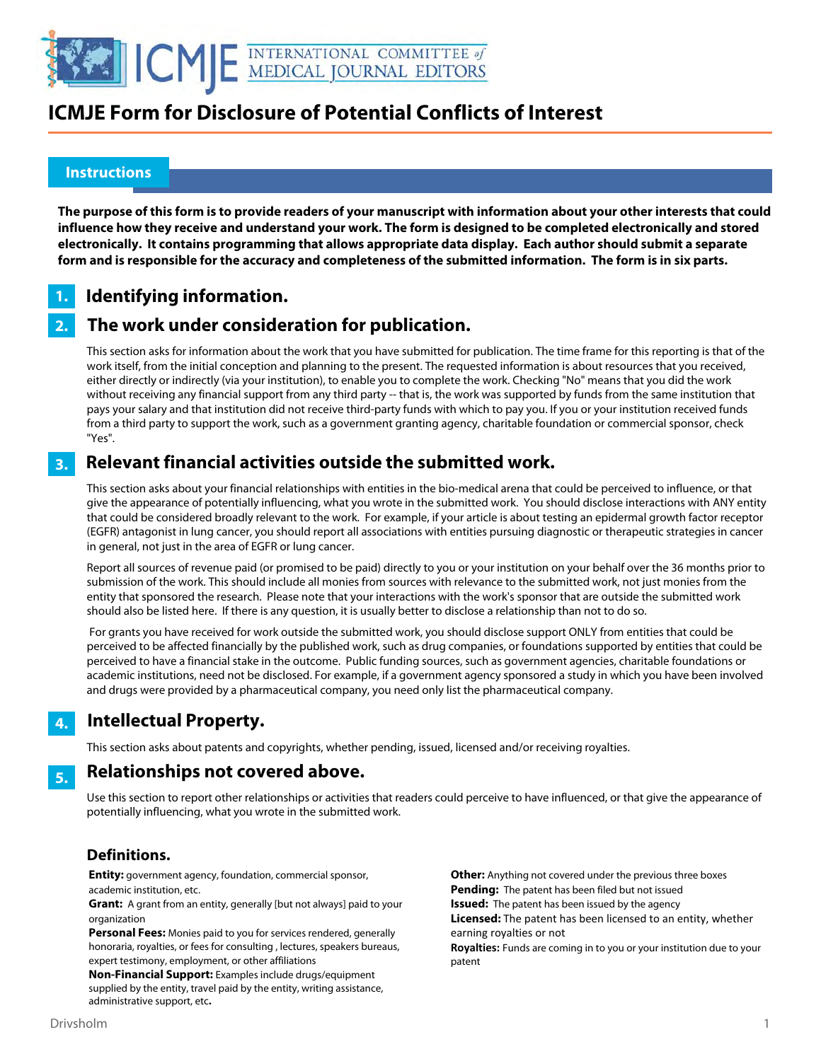

#### **Instructions**

**The purpose of this form is to provide readers of your manuscript with information about your other interests that could influence how they receive and understand your work. The form is designed to be completed electronically and stored electronically. It contains programming that allows appropriate data display. Each author should submit a separate form and is responsible for the accuracy and completeness of the submitted information. The form is in six parts.** 

#### **Identifying information. 1.**

#### **The work under consideration for publication. 2.**

This section asks for information about the work that you have submitted for publication. The time frame for this reporting is that of the work itself, from the initial conception and planning to the present. The requested information is about resources that you received, either directly or indirectly (via your institution), to enable you to complete the work. Checking "No" means that you did the work without receiving any financial support from any third party -- that is, the work was supported by funds from the same institution that pays your salary and that institution did not receive third-party funds with which to pay you. If you or your institution received funds from a third party to support the work, such as a government granting agency, charitable foundation or commercial sponsor, check "Yes".

#### **Relevant financial activities outside the submitted work. 3.**

This section asks about your financial relationships with entities in the bio-medical arena that could be perceived to influence, or that give the appearance of potentially influencing, what you wrote in the submitted work. You should disclose interactions with ANY entity that could be considered broadly relevant to the work. For example, if your article is about testing an epidermal growth factor receptor (EGFR) antagonist in lung cancer, you should report all associations with entities pursuing diagnostic or therapeutic strategies in cancer in general, not just in the area of EGFR or lung cancer.

Report all sources of revenue paid (or promised to be paid) directly to you or your institution on your behalf over the 36 months prior to submission of the work. This should include all monies from sources with relevance to the submitted work, not just monies from the entity that sponsored the research. Please note that your interactions with the work's sponsor that are outside the submitted work should also be listed here. If there is any question, it is usually better to disclose a relationship than not to do so.

 For grants you have received for work outside the submitted work, you should disclose support ONLY from entities that could be perceived to be affected financially by the published work, such as drug companies, or foundations supported by entities that could be perceived to have a financial stake in the outcome. Public funding sources, such as government agencies, charitable foundations or academic institutions, need not be disclosed. For example, if a government agency sponsored a study in which you have been involved and drugs were provided by a pharmaceutical company, you need only list the pharmaceutical company.

#### **Intellectual Property. 4.**

This section asks about patents and copyrights, whether pending, issued, licensed and/or receiving royalties.

#### **Relationships not covered above. 5.**

Use this section to report other relationships or activities that readers could perceive to have influenced, or that give the appearance of potentially influencing, what you wrote in the submitted work.

### **Definitions.**

**Entity:** government agency, foundation, commercial sponsor, academic institution, etc.

**Grant:** A grant from an entity, generally [but not always] paid to your organization

**Personal Fees:** Monies paid to you for services rendered, generally honoraria, royalties, or fees for consulting , lectures, speakers bureaus, expert testimony, employment, or other affiliations

**Non-Financial Support:** Examples include drugs/equipment supplied by the entity, travel paid by the entity, writing assistance, administrative support, etc**.**

**Other:** Anything not covered under the previous three boxes **Pending:** The patent has been filed but not issued **Issued:** The patent has been issued by the agency **Licensed:** The patent has been licensed to an entity, whether earning royalties or not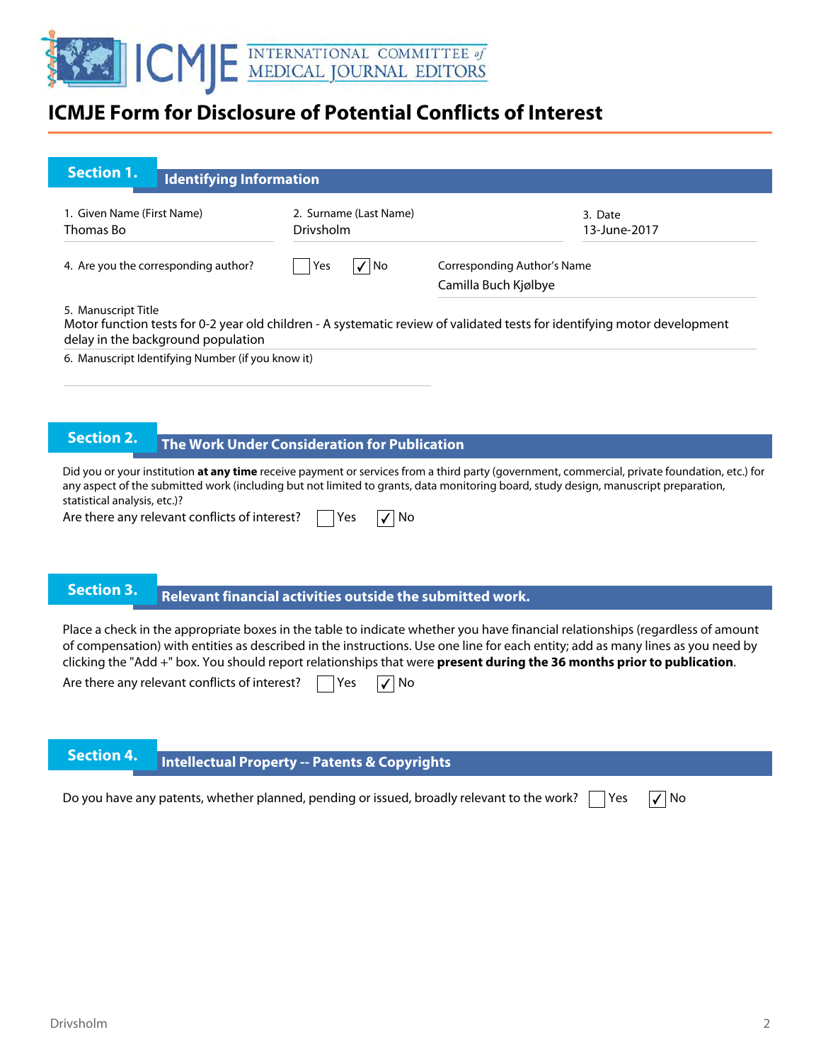

| <b>Section 1.</b>                       | <b>Identifying Information</b>                      |                                     |                                                                                                                                                                                                                                                                                      |
|-----------------------------------------|-----------------------------------------------------|-------------------------------------|--------------------------------------------------------------------------------------------------------------------------------------------------------------------------------------------------------------------------------------------------------------------------------------|
| 1. Given Name (First Name)<br>Thomas Bo |                                                     | 2. Surname (Last Name)<br>Drivsholm | 3. Date<br>13-June-2017                                                                                                                                                                                                                                                              |
| 4. Are you the corresponding author?    |                                                     | $\sqrt{ N_{0}}$<br>Yes              | Corresponding Author's Name<br>Camilla Buch Kiølbye                                                                                                                                                                                                                                  |
| 5. Manuscript Title                     | delay in the background population                  |                                     | Motor function tests for 0-2 year old children - A systematic review of validated tests for identifying motor development                                                                                                                                                            |
|                                         | 6. Manuscript Identifying Number (if you know it)   |                                     |                                                                                                                                                                                                                                                                                      |
|                                         |                                                     |                                     |                                                                                                                                                                                                                                                                                      |
|                                         |                                                     |                                     |                                                                                                                                                                                                                                                                                      |
| <b>Section 2.</b>                       | <b>The Work Under Consideration for Publication</b> |                                     |                                                                                                                                                                                                                                                                                      |
| statistical analysis, etc.)?            |                                                     |                                     | Did you or your institution at any time receive payment or services from a third party (government, commercial, private foundation, etc.) for<br>any aspect of the submitted work (including but not limited to grants, data monitoring board, study design, manuscript preparation, |
|                                         | Are there any relevant conflicts of interest?       | Yes                                 | $\sqrt{ NQ}$                                                                                                                                                                                                                                                                         |
|                                         |                                                     |                                     |                                                                                                                                                                                                                                                                                      |
|                                         |                                                     |                                     |                                                                                                                                                                                                                                                                                      |
| <b>Section 3.</b>                       |                                                     |                                     | Relevant financial activities outside the submitted work.                                                                                                                                                                                                                            |

Place a check in the appropriate boxes in the table to indicate whether you have financial relationships (regardless of amount of compensation) with entities as described in the instructions. Use one line for each entity; add as many lines as you need by clicking the "Add +" box. You should report relationships that were **present during the 36 months prior to publication**.

| Are there any relevant conflicts of interest? | Yes | $\sqrt{ }$ No |  |
|-----------------------------------------------|-----|---------------|--|
|-----------------------------------------------|-----|---------------|--|

## **Intellectual Property -- Patents & Copyrights**

Do you have any patents, whether planned, pending or issued, broadly relevant to the work?  $\Box$  Yes  $\Box$  No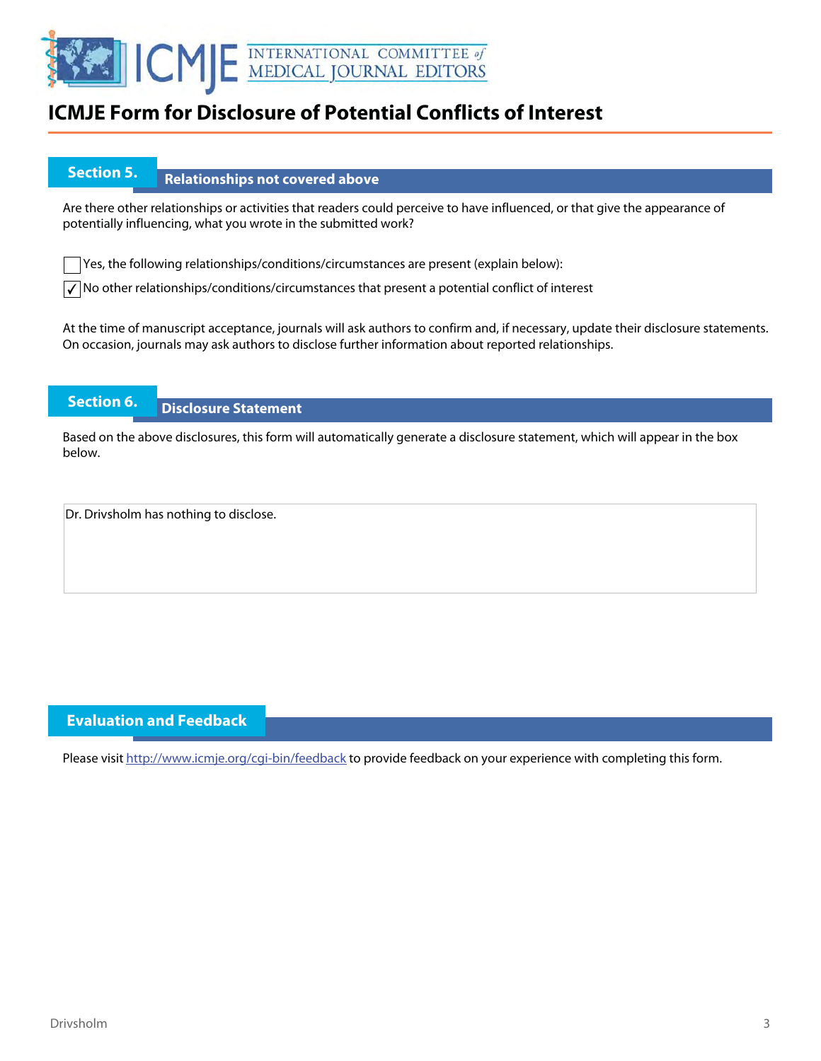

### **Section 5.** Relationships not covered above

Are there other relationships or activities that readers could perceive to have influenced, or that give the appearance of potentially influencing, what you wrote in the submitted work?

Yes, the following relationships/conditions/circumstances are present (explain below):

 $\sqrt{\ }$  No other relationships/conditions/circumstances that present a potential conflict of interest

At the time of manuscript acceptance, journals will ask authors to confirm and, if necessary, update their disclosure statements. On occasion, journals may ask authors to disclose further information about reported relationships.

### **Section 6. Disclosure Statement**

Based on the above disclosures, this form will automatically generate a disclosure statement, which will appear in the box below.

Dr. Drivsholm has nothing to disclose.

### **Evaluation and Feedback**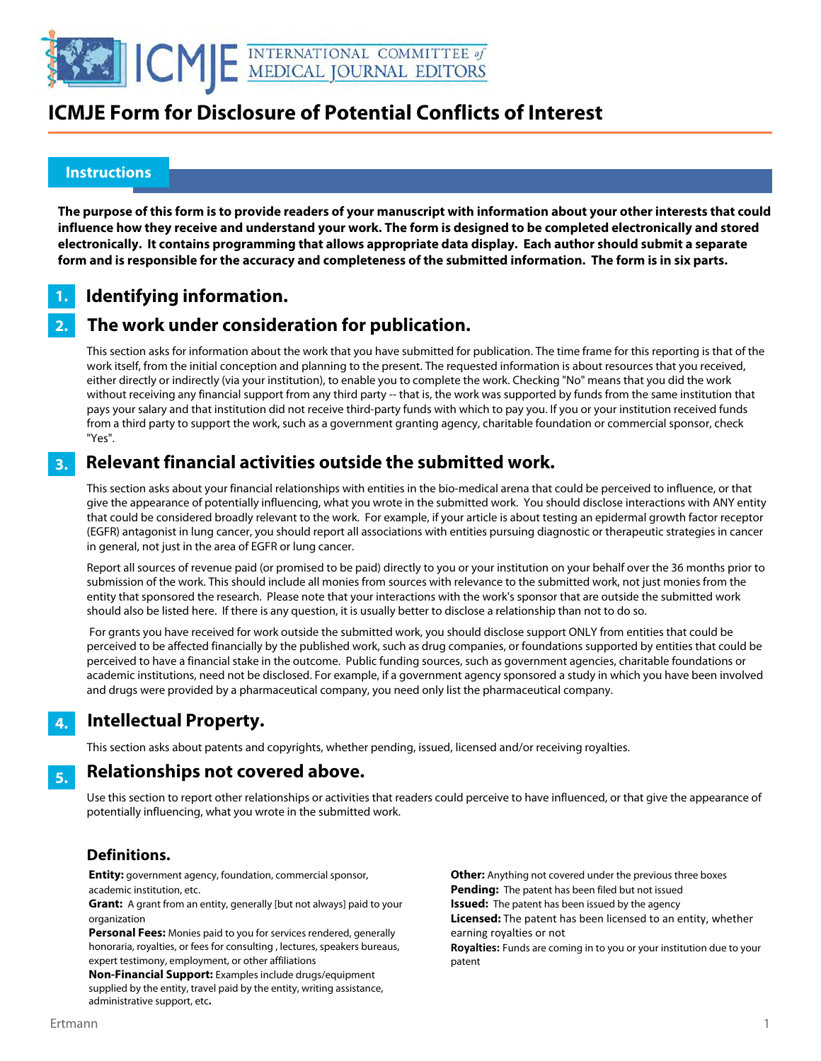

#### **Instructions**

**The purpose of this form is to provide readers of your manuscript with information about your other interests that could influence how they receive and understand your work. The form is designed to be completed electronically and stored electronically. It contains programming that allows appropriate data display. Each author should submit a separate form and is responsible for the accuracy and completeness of the submitted information. The form is in six parts.** 

#### **Identifying information. 1.**

#### **The work under consideration for publication. 2.**

This section asks for information about the work that you have submitted for publication. The time frame for this reporting is that of the work itself, from the initial conception and planning to the present. The requested information is about resources that you received, either directly or indirectly (via your institution), to enable you to complete the work. Checking "No" means that you did the work without receiving any financial support from any third party -- that is, the work was supported by funds from the same institution that pays your salary and that institution did not receive third-party funds with which to pay you. If you or your institution received funds from a third party to support the work, such as a government granting agency, charitable foundation or commercial sponsor, check "Yes".

#### **Relevant financial activities outside the submitted work. 3.**

This section asks about your financial relationships with entities in the bio-medical arena that could be perceived to influence, or that give the appearance of potentially influencing, what you wrote in the submitted work. You should disclose interactions with ANY entity that could be considered broadly relevant to the work. For example, if your article is about testing an epidermal growth factor receptor (EGFR) antagonist in lung cancer, you should report all associations with entities pursuing diagnostic or therapeutic strategies in cancer in general, not just in the area of EGFR or lung cancer.

Report all sources of revenue paid (or promised to be paid) directly to you or your institution on your behalf over the 36 months prior to submission of the work. This should include all monies from sources with relevance to the submitted work, not just monies from the entity that sponsored the research. Please note that your interactions with the work's sponsor that are outside the submitted work should also be listed here. If there is any question, it is usually better to disclose a relationship than not to do so.

 For grants you have received for work outside the submitted work, you should disclose support ONLY from entities that could be perceived to be affected financially by the published work, such as drug companies, or foundations supported by entities that could be perceived to have a financial stake in the outcome. Public funding sources, such as government agencies, charitable foundations or academic institutions, need not be disclosed. For example, if a government agency sponsored a study in which you have been involved and drugs were provided by a pharmaceutical company, you need only list the pharmaceutical company.

#### **Intellectual Property. 4.**

This section asks about patents and copyrights, whether pending, issued, licensed and/or receiving royalties.

#### **Relationships not covered above. 5.**

Use this section to report other relationships or activities that readers could perceive to have influenced, or that give the appearance of potentially influencing, what you wrote in the submitted work.

### **Definitions.**

**Entity:** government agency, foundation, commercial sponsor, academic institution, etc.

**Grant:** A grant from an entity, generally [but not always] paid to your organization

**Personal Fees:** Monies paid to you for services rendered, generally honoraria, royalties, or fees for consulting , lectures, speakers bureaus, expert testimony, employment, or other affiliations

**Non-Financial Support:** Examples include drugs/equipment supplied by the entity, travel paid by the entity, writing assistance, administrative support, etc**.**

**Other:** Anything not covered under the previous three boxes **Pending:** The patent has been filed but not issued **Issued:** The patent has been issued by the agency **Licensed:** The patent has been licensed to an entity, whether earning royalties or not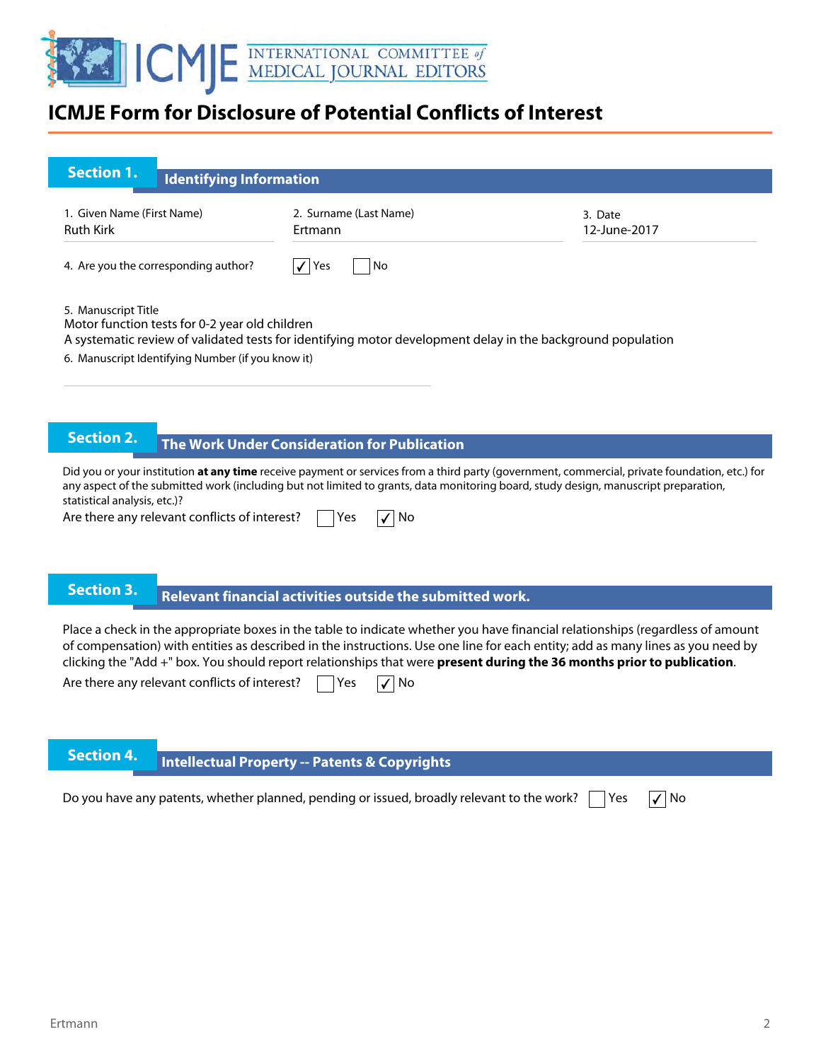

| <b>Section 1.</b><br><b>Identifying Information</b>                                                                                                                                                                                                                                                                                                                                          |                                                                                                             |                                                                                                                                                                                                                                                                                                                                                                                             |  |  |  |
|----------------------------------------------------------------------------------------------------------------------------------------------------------------------------------------------------------------------------------------------------------------------------------------------------------------------------------------------------------------------------------------------|-------------------------------------------------------------------------------------------------------------|---------------------------------------------------------------------------------------------------------------------------------------------------------------------------------------------------------------------------------------------------------------------------------------------------------------------------------------------------------------------------------------------|--|--|--|
| 1. Given Name (First Name)<br><b>Ruth Kirk</b>                                                                                                                                                                                                                                                                                                                                               | 2. Surname (Last Name)<br>Ertmann                                                                           | 3. Date<br>12-June-2017                                                                                                                                                                                                                                                                                                                                                                     |  |  |  |
| 4. Are you the corresponding author?                                                                                                                                                                                                                                                                                                                                                         | $\sqrt{ \gamma}$ es<br>No                                                                                   |                                                                                                                                                                                                                                                                                                                                                                                             |  |  |  |
| 5. Manuscript Title<br>Motor function tests for 0-2 year old children<br>6. Manuscript Identifying Number (if you know it)                                                                                                                                                                                                                                                                   | A systematic review of validated tests for identifying motor development delay in the background population |                                                                                                                                                                                                                                                                                                                                                                                             |  |  |  |
| <b>Section 2.</b>                                                                                                                                                                                                                                                                                                                                                                            | The Work Under Consideration for Publication                                                                |                                                                                                                                                                                                                                                                                                                                                                                             |  |  |  |
| Did you or your institution at any time receive payment or services from a third party (government, commercial, private foundation, etc.) for<br>any aspect of the submitted work (including but not limited to grants, data monitoring board, study design, manuscript preparation,<br>statistical analysis, etc.)?<br>Are there any relevant conflicts of interest?<br>$\sqrt{ NQ}$<br>Yes |                                                                                                             |                                                                                                                                                                                                                                                                                                                                                                                             |  |  |  |
| <b>Section 3.</b>                                                                                                                                                                                                                                                                                                                                                                            | Relevant financial activities outside the submitted work.                                                   |                                                                                                                                                                                                                                                                                                                                                                                             |  |  |  |
| Are there any relevant conflicts of interest?                                                                                                                                                                                                                                                                                                                                                | No<br>Yes<br>$\overline{\mathcal{L}}$                                                                       | Place a check in the appropriate boxes in the table to indicate whether you have financial relationships (regardless of amount<br>of compensation) with entities as described in the instructions. Use one line for each entity; add as many lines as you need by<br>clicking the "Add +" box. You should report relationships that were present during the 36 months prior to publication. |  |  |  |

**Intellectual Property -- Patents & Copyrights** 

Do you have any patents, whether planned, pending or issued, broadly relevant to the work?  $\Box$  Yes  $\Box$  No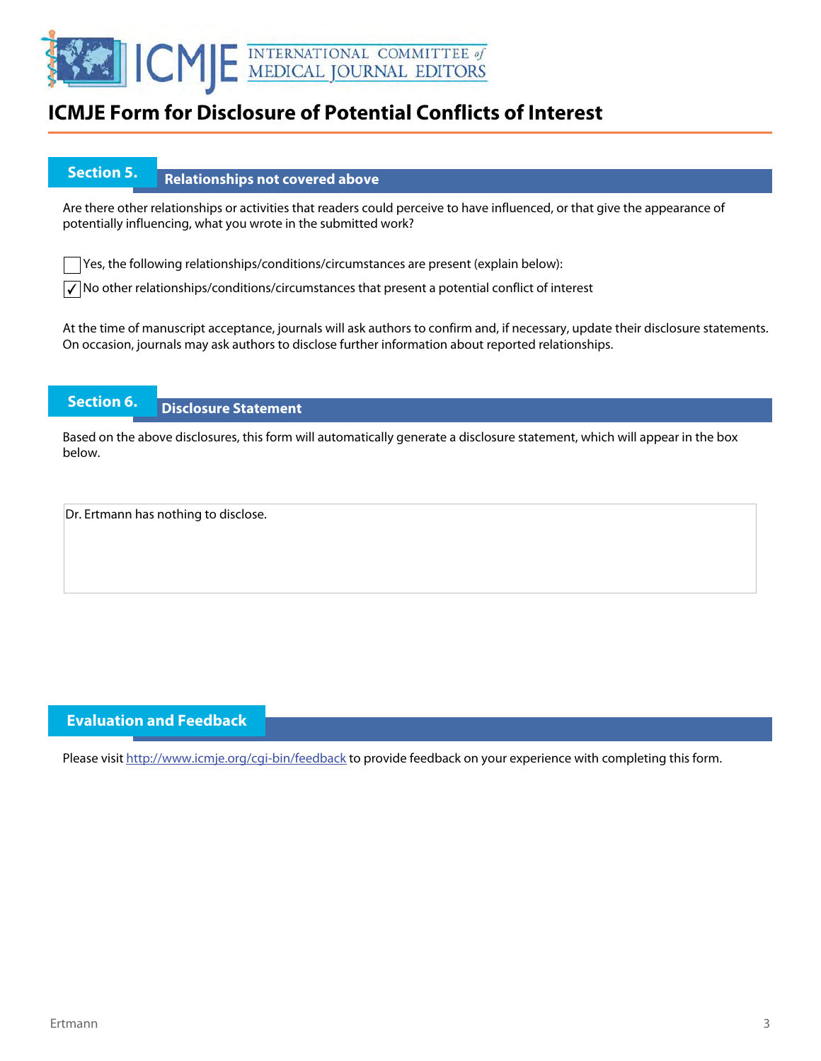

### **Section 5.** Relationships not covered above

Are there other relationships or activities that readers could perceive to have influenced, or that give the appearance of potentially influencing, what you wrote in the submitted work?

Yes, the following relationships/conditions/circumstances are present (explain below):

 $\sqrt{\ }$  No other relationships/conditions/circumstances that present a potential conflict of interest

At the time of manuscript acceptance, journals will ask authors to confirm and, if necessary, update their disclosure statements. On occasion, journals may ask authors to disclose further information about reported relationships.

### **Section 6. Disclosure Statement**

Based on the above disclosures, this form will automatically generate a disclosure statement, which will appear in the box below.

Dr. Ertmann has nothing to disclose.

### **Evaluation and Feedback**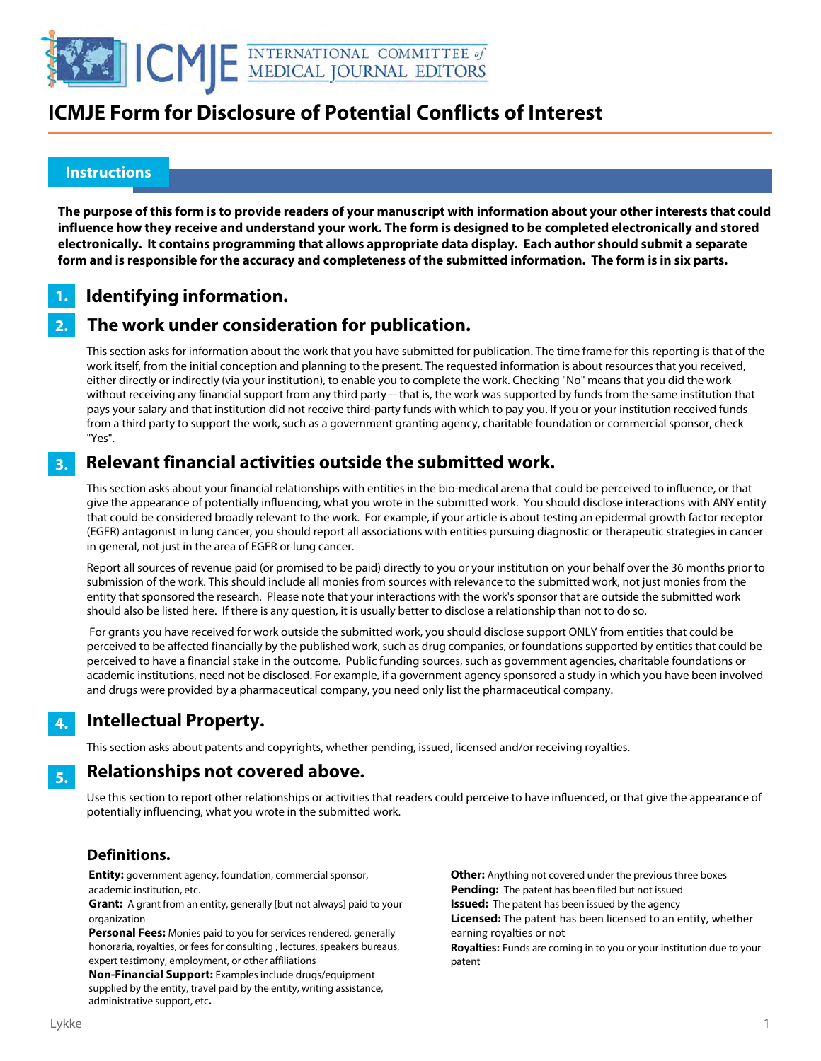

#### **Instructions**

**The purpose of this form is to provide readers of your manuscript with information about your other interests that could influence how they receive and understand your work. The form is designed to be completed electronically and stored electronically. It contains programming that allows appropriate data display. Each author should submit a separate form and is responsible for the accuracy and completeness of the submitted information. The form is in six parts.** 

#### **Identifying information. 1.**

#### **The work under consideration for publication. 2.**

This section asks for information about the work that you have submitted for publication. The time frame for this reporting is that of the work itself, from the initial conception and planning to the present. The requested information is about resources that you received, either directly or indirectly (via your institution), to enable you to complete the work. Checking "No" means that you did the work without receiving any financial support from any third party -- that is, the work was supported by funds from the same institution that pays your salary and that institution did not receive third-party funds with which to pay you. If you or your institution received funds from a third party to support the work, such as a government granting agency, charitable foundation or commercial sponsor, check "Yes".

#### **Relevant financial activities outside the submitted work. 3.**

This section asks about your financial relationships with entities in the bio-medical arena that could be perceived to influence, or that give the appearance of potentially influencing, what you wrote in the submitted work. You should disclose interactions with ANY entity that could be considered broadly relevant to the work. For example, if your article is about testing an epidermal growth factor receptor (EGFR) antagonist in lung cancer, you should report all associations with entities pursuing diagnostic or therapeutic strategies in cancer in general, not just in the area of EGFR or lung cancer.

Report all sources of revenue paid (or promised to be paid) directly to you or your institution on your behalf over the 36 months prior to submission of the work. This should include all monies from sources with relevance to the submitted work, not just monies from the entity that sponsored the research. Please note that your interactions with the work's sponsor that are outside the submitted work should also be listed here. If there is any question, it is usually better to disclose a relationship than not to do so.

 For grants you have received for work outside the submitted work, you should disclose support ONLY from entities that could be perceived to be affected financially by the published work, such as drug companies, or foundations supported by entities that could be perceived to have a financial stake in the outcome. Public funding sources, such as government agencies, charitable foundations or academic institutions, need not be disclosed. For example, if a government agency sponsored a study in which you have been involved and drugs were provided by a pharmaceutical company, you need only list the pharmaceutical company.

#### **Intellectual Property. 4.**

This section asks about patents and copyrights, whether pending, issued, licensed and/or receiving royalties.

#### **Relationships not covered above. 5.**

Use this section to report other relationships or activities that readers could perceive to have influenced, or that give the appearance of potentially influencing, what you wrote in the submitted work.

### **Definitions.**

**Entity:** government agency, foundation, commercial sponsor, academic institution, etc.

**Grant:** A grant from an entity, generally [but not always] paid to your organization

**Personal Fees:** Monies paid to you for services rendered, generally honoraria, royalties, or fees for consulting , lectures, speakers bureaus, expert testimony, employment, or other affiliations

**Non-Financial Support:** Examples include drugs/equipment supplied by the entity, travel paid by the entity, writing assistance, administrative support, etc**.**

**Other:** Anything not covered under the previous three boxes **Pending:** The patent has been filed but not issued **Issued:** The patent has been issued by the agency **Licensed:** The patent has been licensed to an entity, whether earning royalties or not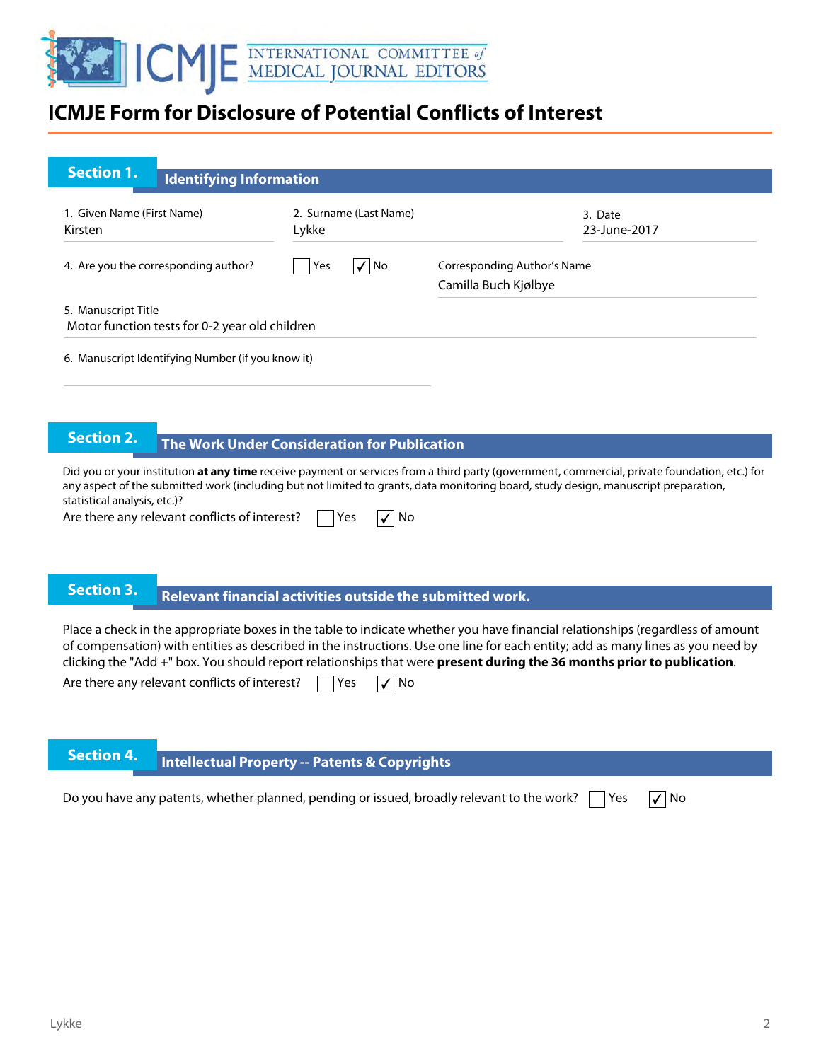

| <b>Section 1.</b>                     | <b>Identifying Information</b>                    |       |                        |                                                     |                         |
|---------------------------------------|---------------------------------------------------|-------|------------------------|-----------------------------------------------------|-------------------------|
| 1. Given Name (First Name)<br>Kirsten |                                                   | Lykke | 2. Surname (Last Name) |                                                     | 3. Date<br>23-June-2017 |
| 4. Are you the corresponding author?  |                                                   | Yes   | $\sqrt{ NQ}$           | Corresponding Author's Name<br>Camilla Buch Kjølbye |                         |
| 5. Manuscript Title                   | Motor function tests for 0-2 year old children    |       |                        |                                                     |                         |
|                                       | 6. Manuscript Identifying Number (if you know it) |       |                        |                                                     |                         |

## **The Work Under Consideration for Publication**

Did you or your institution **at any time** receive payment or services from a third party (government, commercial, private foundation, etc.) for any aspect of the submitted work (including but not limited to grants, data monitoring board, study design, manuscript preparation, statistical analysis, etc.)?

| Are there any relevant conflicts of interest? | l Yes |  | l√∣No |
|-----------------------------------------------|-------|--|-------|
|-----------------------------------------------|-------|--|-------|

## **Relevant financial activities outside the submitted work. Section 3. Relevant financial activities outset**

Place a check in the appropriate boxes in the table to indicate whether you have financial relationships (regardless of amount of compensation) with entities as described in the instructions. Use one line for each entity; add as many lines as you need by clicking the "Add +" box. You should report relationships that were **present during the 36 months prior to publication**.

| Are there any relevant conflicts of interest? | <b>Yes</b> | $\sqrt{}$ No |
|-----------------------------------------------|------------|--------------|
|                                               |            |              |

## **Intellectual Property -- Patents & Copyrights**

| Do you have any patents, whether planned, pending or issued, broadly relevant to the work? $\Box$ Yes $\Box$ No |  |
|-----------------------------------------------------------------------------------------------------------------|--|
|                                                                                                                 |  |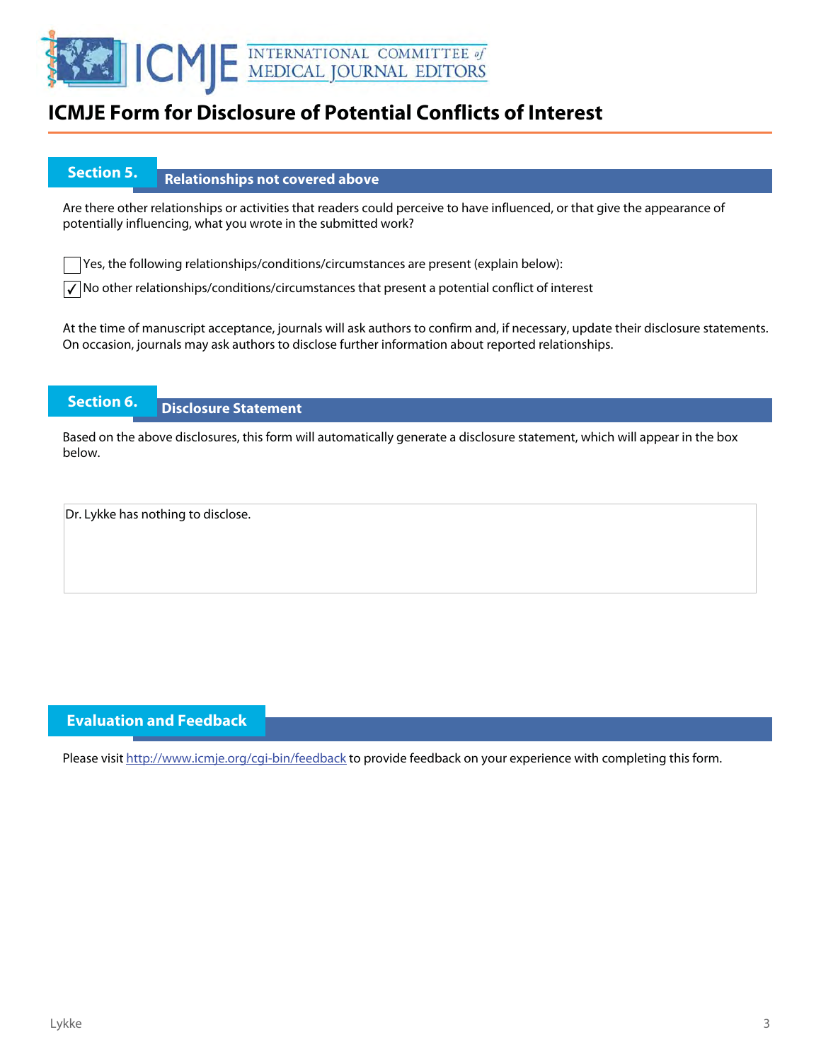

### **Section 5.** Relationships not covered above

Are there other relationships or activities that readers could perceive to have influenced, or that give the appearance of potentially influencing, what you wrote in the submitted work?

Yes, the following relationships/conditions/circumstances are present (explain below):

 $\sqrt{\ }$  No other relationships/conditions/circumstances that present a potential conflict of interest

At the time of manuscript acceptance, journals will ask authors to confirm and, if necessary, update their disclosure statements. On occasion, journals may ask authors to disclose further information about reported relationships.

### **Section 6. Disclosure Statement**

Based on the above disclosures, this form will automatically generate a disclosure statement, which will appear in the box below.

Dr. Lykke has nothing to disclose.

### **Evaluation and Feedback**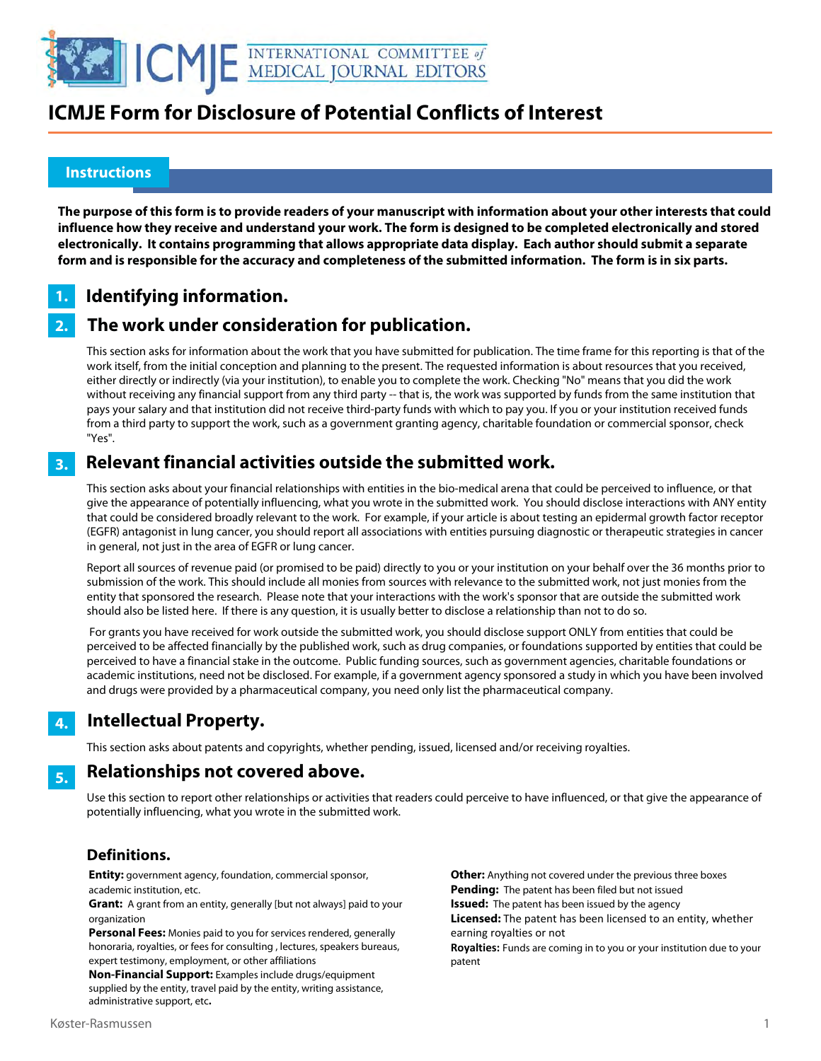

#### **Instructions**

**The purpose of this form is to provide readers of your manuscript with information about your other interests that could influence how they receive and understand your work. The form is designed to be completed electronically and stored electronically. It contains programming that allows appropriate data display. Each author should submit a separate form and is responsible for the accuracy and completeness of the submitted information. The form is in six parts.** 

#### **Identifying information. 1.**

#### **The work under consideration for publication. 2.**

This section asks for information about the work that you have submitted for publication. The time frame for this reporting is that of the work itself, from the initial conception and planning to the present. The requested information is about resources that you received, either directly or indirectly (via your institution), to enable you to complete the work. Checking "No" means that you did the work without receiving any financial support from any third party -- that is, the work was supported by funds from the same institution that pays your salary and that institution did not receive third-party funds with which to pay you. If you or your institution received funds from a third party to support the work, such as a government granting agency, charitable foundation or commercial sponsor, check "Yes".

#### **Relevant financial activities outside the submitted work. 3.**

This section asks about your financial relationships with entities in the bio-medical arena that could be perceived to influence, or that give the appearance of potentially influencing, what you wrote in the submitted work. You should disclose interactions with ANY entity that could be considered broadly relevant to the work. For example, if your article is about testing an epidermal growth factor receptor (EGFR) antagonist in lung cancer, you should report all associations with entities pursuing diagnostic or therapeutic strategies in cancer in general, not just in the area of EGFR or lung cancer.

Report all sources of revenue paid (or promised to be paid) directly to you or your institution on your behalf over the 36 months prior to submission of the work. This should include all monies from sources with relevance to the submitted work, not just monies from the entity that sponsored the research. Please note that your interactions with the work's sponsor that are outside the submitted work should also be listed here. If there is any question, it is usually better to disclose a relationship than not to do so.

 For grants you have received for work outside the submitted work, you should disclose support ONLY from entities that could be perceived to be affected financially by the published work, such as drug companies, or foundations supported by entities that could be perceived to have a financial stake in the outcome. Public funding sources, such as government agencies, charitable foundations or academic institutions, need not be disclosed. For example, if a government agency sponsored a study in which you have been involved and drugs were provided by a pharmaceutical company, you need only list the pharmaceutical company.

#### **Intellectual Property. 4.**

This section asks about patents and copyrights, whether pending, issued, licensed and/or receiving royalties.

#### **Relationships not covered above. 5.**

Use this section to report other relationships or activities that readers could perceive to have influenced, or that give the appearance of potentially influencing, what you wrote in the submitted work.

### **Definitions.**

**Entity:** government agency, foundation, commercial sponsor, academic institution, etc.

**Grant:** A grant from an entity, generally [but not always] paid to your organization

**Personal Fees:** Monies paid to you for services rendered, generally honoraria, royalties, or fees for consulting , lectures, speakers bureaus, expert testimony, employment, or other affiliations

**Non-Financial Support:** Examples include drugs/equipment supplied by the entity, travel paid by the entity, writing assistance, administrative support, etc**.**

**Other:** Anything not covered under the previous three boxes **Pending:** The patent has been filed but not issued **Issued:** The patent has been issued by the agency **Licensed:** The patent has been licensed to an entity, whether earning royalties or not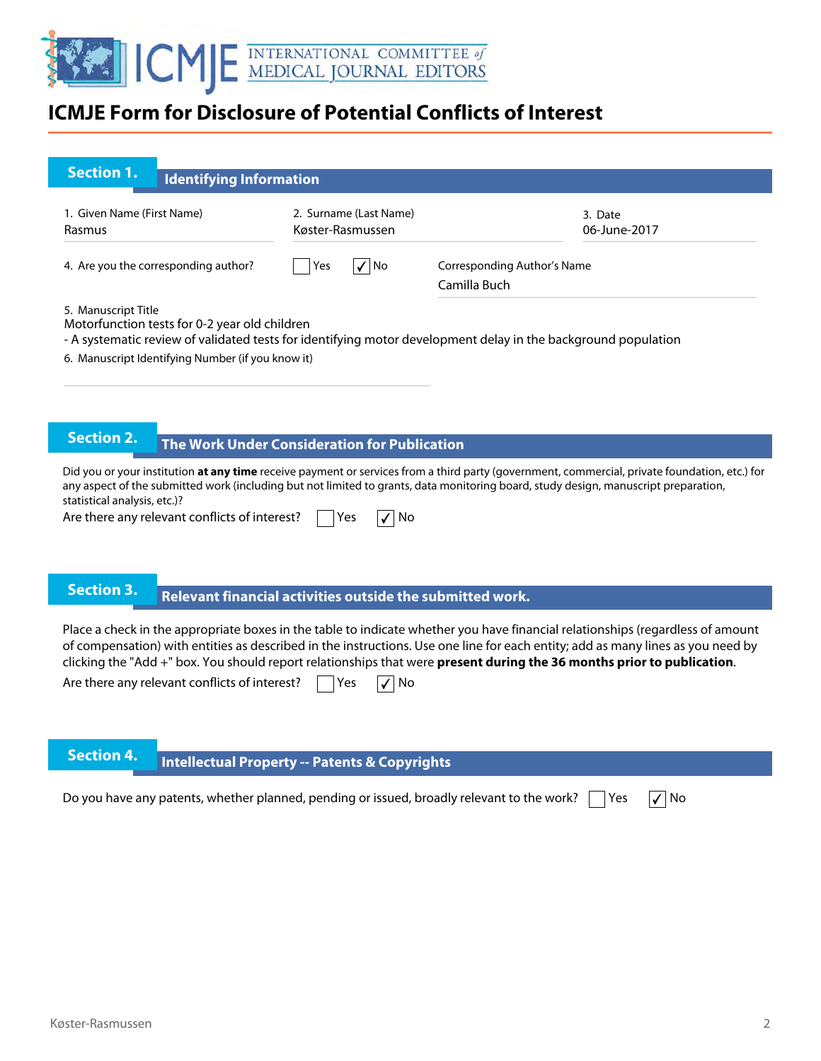

| <b>Section 1.</b><br><b>Identifying Information</b>                                                                                                                                                                                                                                                                                                                                           |                                                           |                                                                                                                                                                                                                                                                                                                                                                                             |  |  |  |  |  |
|-----------------------------------------------------------------------------------------------------------------------------------------------------------------------------------------------------------------------------------------------------------------------------------------------------------------------------------------------------------------------------------------------|-----------------------------------------------------------|---------------------------------------------------------------------------------------------------------------------------------------------------------------------------------------------------------------------------------------------------------------------------------------------------------------------------------------------------------------------------------------------|--|--|--|--|--|
| 1. Given Name (First Name)<br>Rasmus                                                                                                                                                                                                                                                                                                                                                          | 2. Surname (Last Name)<br>Køster-Rasmussen                | 3. Date<br>06-June-2017                                                                                                                                                                                                                                                                                                                                                                     |  |  |  |  |  |
| 4. Are you the corresponding author?                                                                                                                                                                                                                                                                                                                                                          | $\sqrt{ N_{0}}$<br>Yes                                    | Corresponding Author's Name<br>Camilla Buch                                                                                                                                                                                                                                                                                                                                                 |  |  |  |  |  |
| 5. Manuscript Title<br>Motorfunction tests for 0-2 year old children<br>- A systematic review of validated tests for identifying motor development delay in the background population<br>6. Manuscript Identifying Number (if you know it)                                                                                                                                                    |                                                           |                                                                                                                                                                                                                                                                                                                                                                                             |  |  |  |  |  |
| <b>Section 2.</b>                                                                                                                                                                                                                                                                                                                                                                             | The Work Under Consideration for Publication              |                                                                                                                                                                                                                                                                                                                                                                                             |  |  |  |  |  |
| Did you or your institution at any time receive payment or services from a third party (government, commercial, private foundation, etc.) for<br>any aspect of the submitted work (including but not limited to grants, data monitoring board, study design, manuscript preparation,<br>statistical analysis, etc.)?<br>Are there any relevant conflicts of interest?<br>Yes<br>$\sqrt{ }$ No |                                                           |                                                                                                                                                                                                                                                                                                                                                                                             |  |  |  |  |  |
| <b>Section 3.</b>                                                                                                                                                                                                                                                                                                                                                                             | Relevant financial activities outside the submitted work. |                                                                                                                                                                                                                                                                                                                                                                                             |  |  |  |  |  |
| Are there any relevant conflicts of interest?                                                                                                                                                                                                                                                                                                                                                 | $\sqrt{ }$ No<br>Yes                                      | Place a check in the appropriate boxes in the table to indicate whether you have financial relationships (regardless of amount<br>of compensation) with entities as described in the instructions. Use one line for each entity; add as many lines as you need by<br>clicking the "Add +" box. You should report relationships that were present during the 36 months prior to publication. |  |  |  |  |  |

## **Intellectual Property -- Patents & Copyrights**

| Do you have any patents, whether planned, pending or issued, broadly relevant to the work? $\Box$ Yes $\Box$ No |  |
|-----------------------------------------------------------------------------------------------------------------|--|
|                                                                                                                 |  |